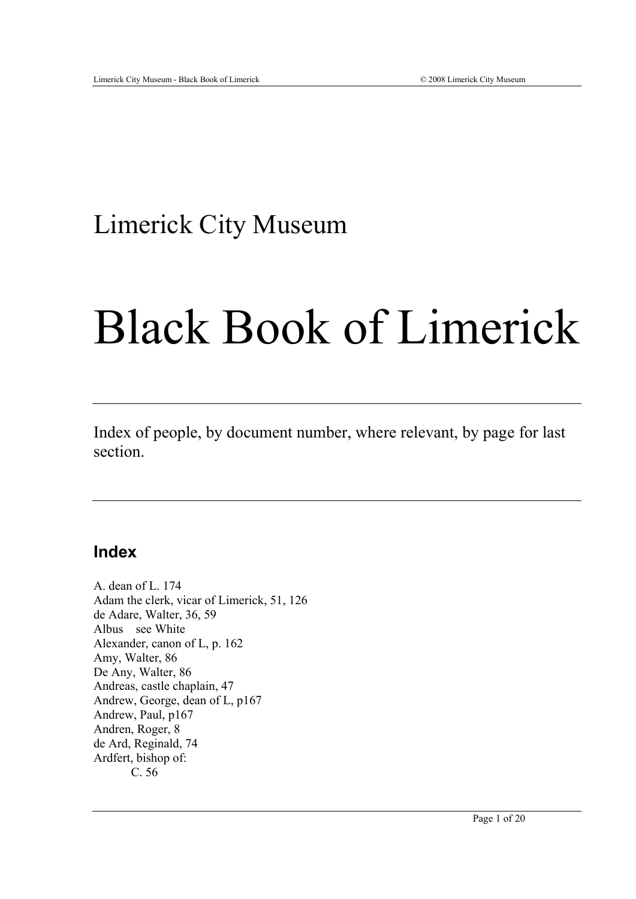## Limerick City Museum

## Black Book of Limerick

Index of people, by document number, where relevant, by page for last section.

## **Index**

A. dean of L. 174 Adam the clerk, vicar of Limerick, 51, 126 de Adare, Walter, 36, 59 Albus see White Alexander, canon of L, p. 162 Amy, Walter, 86 De Any, Walter, 86 Andreas, castle chaplain, 47 Andrew, George, dean of L, p167 Andrew, Paul, p167 Andren, Roger, 8 de Ard, Reginald, 74 Ardfert, bishop of: C. 56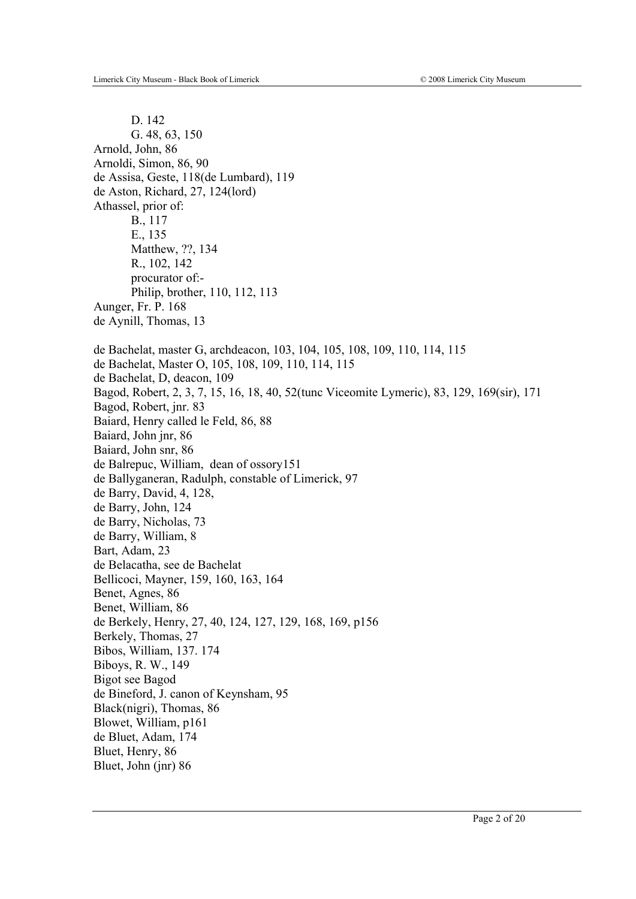D. 142 G. 48, 63, 150 Arnold, John, 86 Arnoldi, Simon, 86, 90 de Assisa, Geste, 118(de Lumbard), 119 de Aston, Richard, 27, 124(lord) Athassel, prior of: B., 117 E., 135 Matthew, ??, 134 R., 102, 142 procurator of:- Philip, brother, 110, 112, 113 Aunger, Fr. P. 168 de Aynill, Thomas, 13 de Bachelat, master G, archdeacon, 103, 104, 105, 108, 109, 110, 114, 115 de Bachelat, Master O, 105, 108, 109, 110, 114, 115 de Bachelat, D, deacon, 109 Bagod, Robert, 2, 3, 7, 15, 16, 18, 40, 52(tunc Viceomite Lymeric), 83, 129, 169(sir), 171 Bagod, Robert, jnr. 83 Baiard, Henry called le Feld, 86, 88 Baiard, John jnr, 86 Baiard, John snr, 86 de Balrepuc, William, dean of ossory151 de Ballyganeran, Radulph, constable of Limerick, 97 de Barry, David, 4, 128, de Barry, John, 124 de Barry, Nicholas, 73 de Barry, William, 8 Bart, Adam, 23 de Belacatha, see de Bachelat Bellicoci, Mayner, 159, 160, 163, 164 Benet, Agnes, 86 Benet, William, 86 de Berkely, Henry, 27, 40, 124, 127, 129, 168, 169, p156 Berkely, Thomas, 27 Bibos, William, 137. 174 Biboys, R. W., 149 Bigot see Bagod de Bineford, J. canon of Keynsham, 95 Black(nigri), Thomas, 86 Blowet, William, p161 de Bluet, Adam, 174 Bluet, Henry, 86 Bluet, John (jnr) 86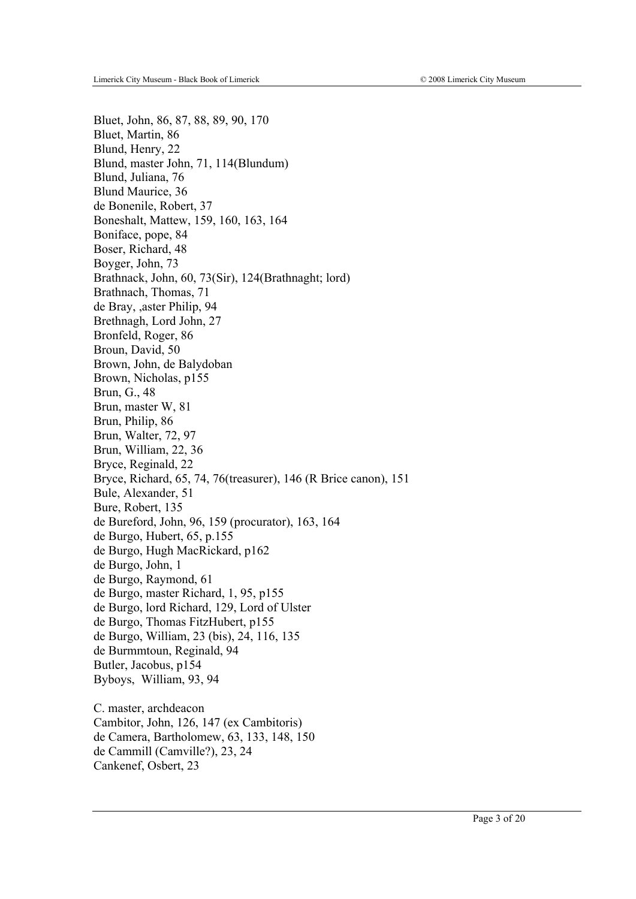de Cammill (Camville?), 23, 24

Cankenef, Osbert, 23

Bluet, John, 86, 87, 88, 89, 90, 170 Bluet, Martin, 86 Blund, Henry, 22 Blund, master John, 71, 114(Blundum) Blund, Juliana, 76 Blund Maurice, 36 de Bonenile, Robert, 37 Boneshalt, Mattew, 159, 160, 163, 164 Boniface, pope, 84 Boser, Richard, 48 Boyger, John, 73 Brathnack, John, 60, 73(Sir), 124(Brathnaght; lord) Brathnach, Thomas, 71 de Bray, ,aster Philip, 94 Brethnagh, Lord John, 27 Bronfeld, Roger, 86 Broun, David, 50 Brown, John, de Balydoban Brown, Nicholas, p155 Brun, G., 48 Brun, master W, 81 Brun, Philip, 86 Brun, Walter, 72, 97 Brun, William, 22, 36 Bryce, Reginald, 22 Bryce, Richard, 65, 74, 76(treasurer), 146 (R Brice canon), 151 Bule, Alexander, 51 Bure, Robert, 135 de Bureford, John, 96, 159 (procurator), 163, 164 de Burgo, Hubert, 65, p.155 de Burgo, Hugh MacRickard, p162 de Burgo, John, 1 de Burgo, Raymond, 61 de Burgo, master Richard, 1, 95, p155 de Burgo, lord Richard, 129, Lord of Ulster de Burgo, Thomas FitzHubert, p155 de Burgo, William, 23 (bis), 24, 116, 135 de Burmmtoun, Reginald, 94 Butler, Jacobus, p154 Byboys, William, 93, 94 C. master, archdeacon Cambitor, John, 126, 147 (ex Cambitoris) de Camera, Bartholomew, 63, 133, 148, 150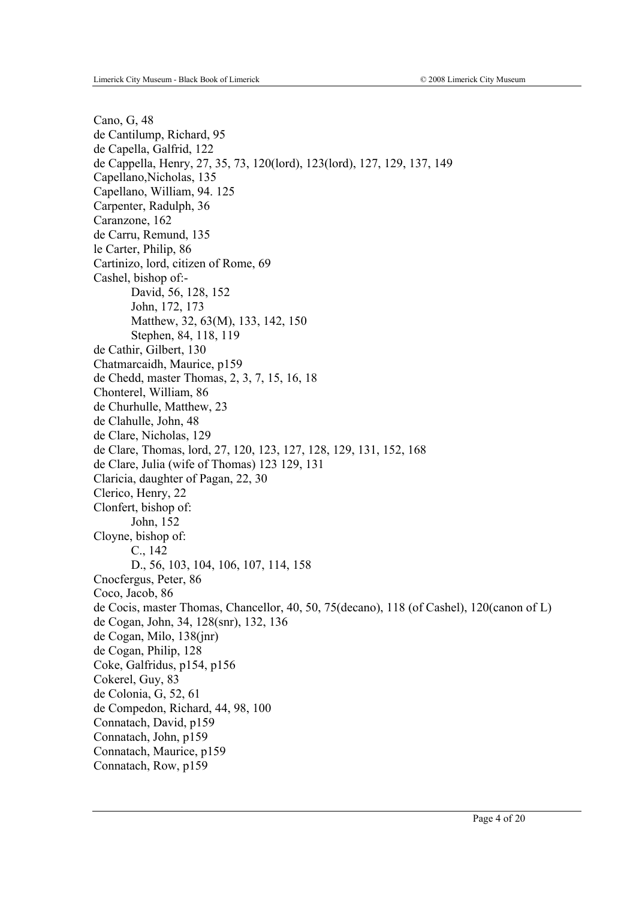Cano, G, 48 de Cantilump, Richard, 95 de Capella, Galfrid, 122 de Cappella, Henry, 27, 35, 73, 120(lord), 123(lord), 127, 129, 137, 149 Capellano,Nicholas, 135 Capellano, William, 94. 125 Carpenter, Radulph, 36 Caranzone, 162 de Carru, Remund, 135 le Carter, Philip, 86 Cartinizo, lord, citizen of Rome, 69 Cashel, bishop of:- David, 56, 128, 152 John, 172, 173 Matthew, 32, 63(M), 133, 142, 150 Stephen, 84, 118, 119 de Cathir, Gilbert, 130 Chatmarcaidh, Maurice, p159 de Chedd, master Thomas, 2, 3, 7, 15, 16, 18 Chonterel, William, 86 de Churhulle, Matthew, 23 de Clahulle, John, 48 de Clare, Nicholas, 129 de Clare, Thomas, lord, 27, 120, 123, 127, 128, 129, 131, 152, 168 de Clare, Julia (wife of Thomas) 123 129, 131 Claricia, daughter of Pagan, 22, 30 Clerico, Henry, 22 Clonfert, bishop of: John, 152 Cloyne, bishop of: C., 142 D., 56, 103, 104, 106, 107, 114, 158 Cnocfergus, Peter, 86 Coco, Jacob, 86 de Cocis, master Thomas, Chancellor, 40, 50, 75(decano), 118 (of Cashel), 120(canon of L) de Cogan, John, 34, 128(snr), 132, 136 de Cogan, Milo, 138(jnr) de Cogan, Philip, 128 Coke, Galfridus, p154, p156 Cokerel, Guy, 83 de Colonia, G, 52, 61 de Compedon, Richard, 44, 98, 100 Connatach, David, p159 Connatach, John, p159 Connatach, Maurice, p159 Connatach, Row, p159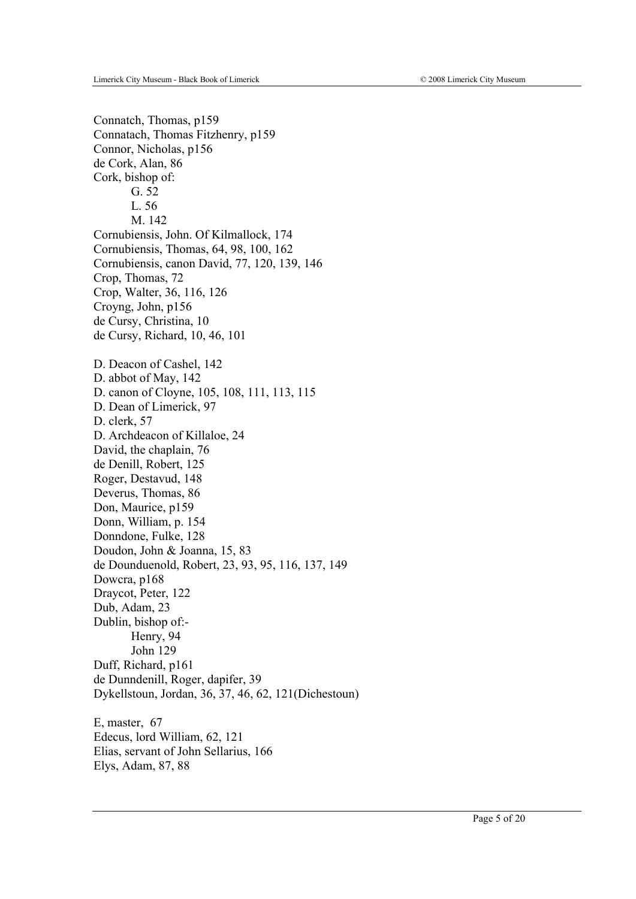Connatch, Thomas, p159 Connatach, Thomas Fitzhenry, p159 Connor, Nicholas, p156 de Cork, Alan, 86 Cork, bishop of: G. 52 L. 56 M. 142 Cornubiensis, John. Of Kilmallock, 174 Cornubiensis, Thomas, 64, 98, 100, 162 Cornubiensis, canon David, 77, 120, 139, 146 Crop, Thomas, 72 Crop, Walter, 36, 116, 126 Croyng, John, p156 de Cursy, Christina, 10 de Cursy, Richard, 10, 46, 101 D. Deacon of Cashel, 142 D. abbot of May, 142 D. canon of Cloyne, 105, 108, 111, 113, 115 D. Dean of Limerick, 97 D. clerk, 57 D. Archdeacon of Killaloe, 24 David, the chaplain, 76 de Denill, Robert, 125 Roger, Destavud, 148 Deverus, Thomas, 86 Don, Maurice, p159 Donn, William, p. 154 Donndone, Fulke, 128 Doudon, John & Joanna, 15, 83 de Dounduenold, Robert, 23, 93, 95, 116, 137, 149 Dowcra, p168 Draycot, Peter, 122 Dub, Adam, 23 Dublin, bishop of:- Henry, 94 John 129 Duff, Richard, p161 de Dunndenill, Roger, dapifer, 39 Dykellstoun, Jordan, 36, 37, 46, 62, 121(Dichestoun) E, master, 67 Edecus, lord William, 62, 121 Elias, servant of John Sellarius, 166 Elys, Adam, 87, 88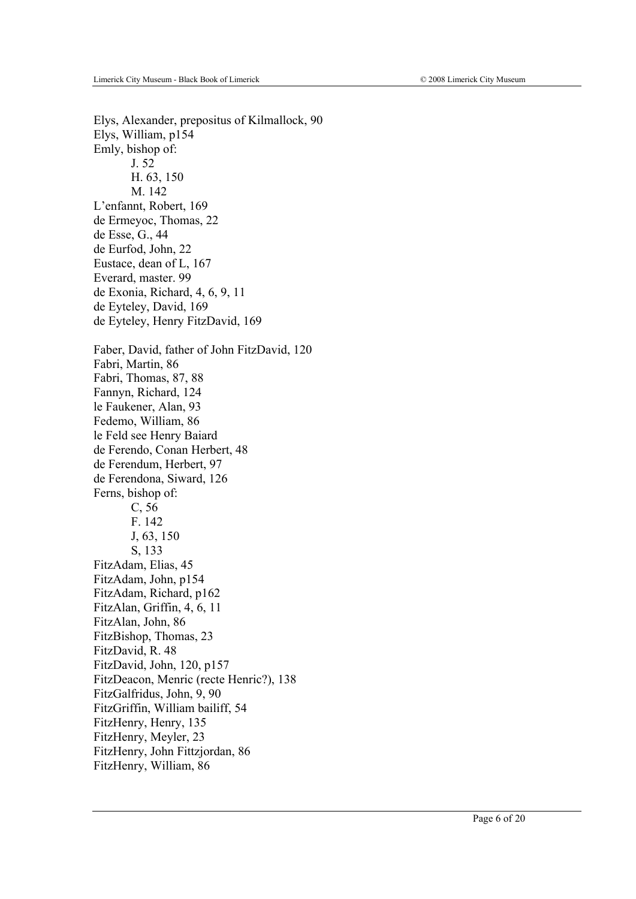Elys, Alexander, prepositus of Kilmallock, 90 Elys, William, p154 Emly, bishop of: J. 52 H. 63, 150 M. 142 L'enfannt, Robert, 169 de Ermeyoc, Thomas, 22 de Esse, G., 44 de Eurfod, John, 22 Eustace, dean of L, 167 Everard, master. 99 de Exonia, Richard, 4, 6, 9, 11 de Eyteley, David, 169 de Eyteley, Henry FitzDavid, 169 Faber, David, father of John FitzDavid, 120 Fabri, Martin, 86 Fabri, Thomas, 87, 88 Fannyn, Richard, 124 le Faukener, Alan, 93 Fedemo, William, 86 le Feld see Henry Baiard de Ferendo, Conan Herbert, 48 de Ferendum, Herbert, 97 de Ferendona, Siward, 126 Ferns, bishop of: C, 56 F. 142 J, 63, 150 S, 133 FitzAdam, Elias, 45 FitzAdam, John, p154 FitzAdam, Richard, p162 FitzAlan, Griffin, 4, 6, 11 FitzAlan, John, 86 FitzBishop, Thomas, 23 FitzDavid, R. 48 FitzDavid, John, 120, p157 FitzDeacon, Menric (recte Henric?), 138 FitzGalfridus, John, 9, 90 FitzGriffin, William bailiff, 54 FitzHenry, Henry, 135 FitzHenry, Meyler, 23 FitzHenry, John Fittzjordan, 86 FitzHenry, William, 86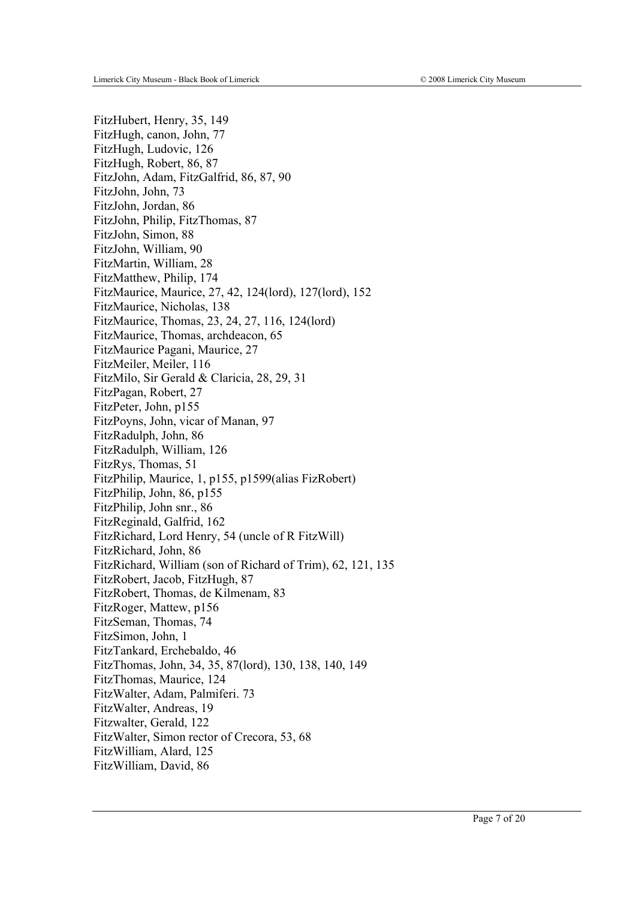FitzHubert, Henry, 35, 149 FitzHugh, canon, John, 77 FitzHugh, Ludovic, 126 FitzHugh, Robert, 86, 87 FitzJohn, Adam, FitzGalfrid, 86, 87, 90 FitzJohn, John, 73 FitzJohn, Jordan, 86 FitzJohn, Philip, FitzThomas, 87 FitzJohn, Simon, 88 FitzJohn, William, 90 FitzMartin, William, 28 FitzMatthew, Philip, 174 FitzMaurice, Maurice, 27, 42, 124(lord), 127(lord), 152 FitzMaurice, Nicholas, 138 FitzMaurice, Thomas, 23, 24, 27, 116, 124(lord) FitzMaurice, Thomas, archdeacon, 65 FitzMaurice Pagani, Maurice, 27 FitzMeiler, Meiler, 116 FitzMilo, Sir Gerald & Claricia, 28, 29, 31 FitzPagan, Robert, 27 FitzPeter, John, p155 FitzPoyns, John, vicar of Manan, 97 FitzRadulph, John, 86 FitzRadulph, William, 126 FitzRys, Thomas, 51 FitzPhilip, Maurice, 1, p155, p1599(alias FizRobert) FitzPhilip, John, 86, p155 FitzPhilip, John snr., 86 FitzReginald, Galfrid, 162 FitzRichard, Lord Henry, 54 (uncle of R FitzWill) FitzRichard, John, 86 FitzRichard, William (son of Richard of Trim), 62, 121, 135 FitzRobert, Jacob, FitzHugh, 87 FitzRobert, Thomas, de Kilmenam, 83 FitzRoger, Mattew, p156 FitzSeman, Thomas, 74 FitzSimon, John, 1 FitzTankard, Erchebaldo, 46 FitzThomas, John, 34, 35, 87(lord), 130, 138, 140, 149 FitzThomas, Maurice, 124 FitzWalter, Adam, Palmiferi. 73 FitzWalter, Andreas, 19 Fitzwalter, Gerald, 122 FitzWalter, Simon rector of Crecora, 53, 68 FitzWilliam, Alard, 125 FitzWilliam, David, 86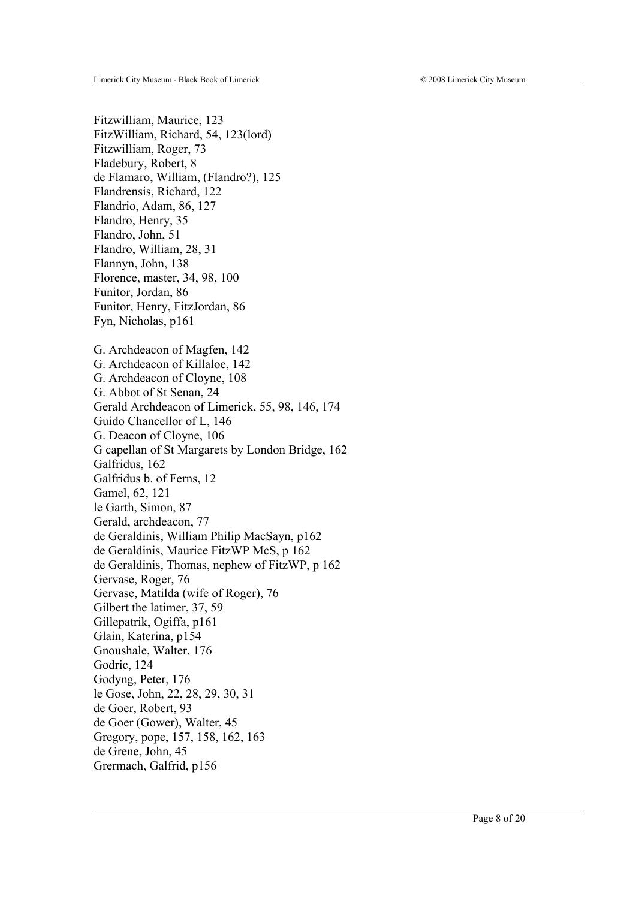Fitzwilliam, Maurice, 123 FitzWilliam, Richard, 54, 123(lord) Fitzwilliam, Roger, 73 Fladebury, Robert, 8 de Flamaro, William, (Flandro?), 125 Flandrensis, Richard, 122 Flandrio, Adam, 86, 127 Flandro, Henry, 35 Flandro, John, 51 Flandro, William, 28, 31 Flannyn, John, 138 Florence, master, 34, 98, 100 Funitor, Jordan, 86 Funitor, Henry, FitzJordan, 86 Fyn, Nicholas, p161 G. Archdeacon of Magfen, 142 G. Archdeacon of Killaloe, 142 G. Archdeacon of Cloyne, 108 G. Abbot of St Senan, 24 Gerald Archdeacon of Limerick, 55, 98, 146, 174 Guido Chancellor of L, 146 G. Deacon of Cloyne, 106 G capellan of St Margarets by London Bridge, 162 Galfridus, 162 Galfridus b. of Ferns, 12 Gamel, 62, 121 le Garth, Simon, 87 Gerald, archdeacon, 77 de Geraldinis, William Philip MacSayn, p162 de Geraldinis, Maurice FitzWP McS, p 162 de Geraldinis, Thomas, nephew of FitzWP, p 162 Gervase, Roger, 76 Gervase, Matilda (wife of Roger), 76 Gilbert the latimer, 37, 59 Gillepatrik, Ogiffa, p161 Glain, Katerina, p154 Gnoushale, Walter, 176 Godric, 124 Godyng, Peter, 176 le Gose, John, 22, 28, 29, 30, 31 de Goer, Robert, 93 de Goer (Gower), Walter, 45 Gregory, pope, 157, 158, 162, 163 de Grene, John, 45 Grermach, Galfrid, p156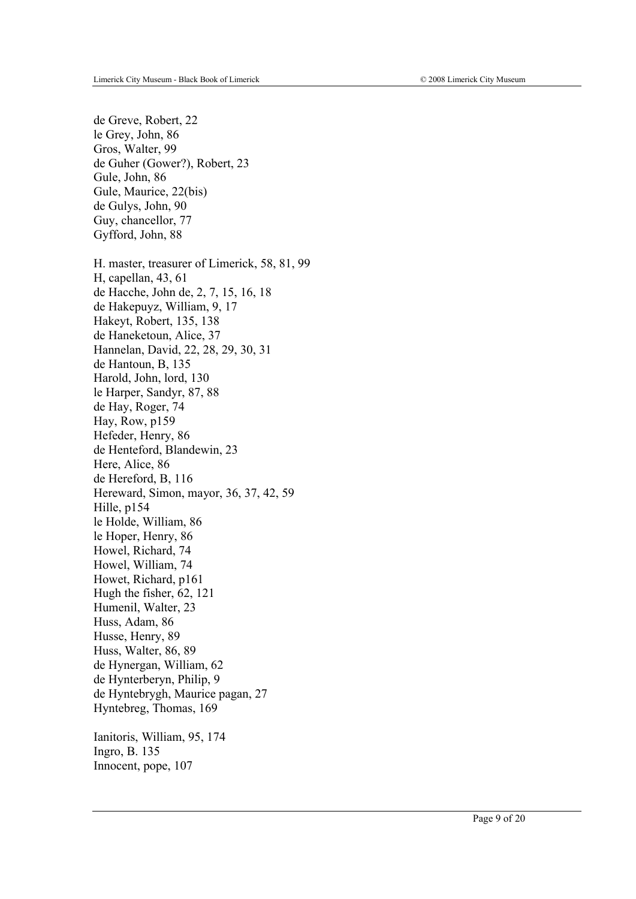de Greve, Robert, 22 le Grey, John, 86 Gros, Walter, 99 de Guher (Gower?), Robert, 23 Gule, John, 86 Gule, Maurice, 22(bis) de Gulys, John, 90 Guy, chancellor, 77 Gyfford, John, 88 H. master, treasurer of Limerick, 58, 81, 99 H, capellan, 43, 61 de Hacche, John de, 2, 7, 15, 16, 18 de Hakepuyz, William, 9, 17 Hakeyt, Robert, 135, 138 de Haneketoun, Alice, 37 Hannelan, David, 22, 28, 29, 30, 31 de Hantoun, B, 135 Harold, John, lord, 130 le Harper, Sandyr, 87, 88 de Hay, Roger, 74 Hay, Row, p159 Hefeder, Henry, 86 de Henteford, Blandewin, 23 Here, Alice, 86 de Hereford, B, 116 Hereward, Simon, mayor, 36, 37, 42, 59 Hille, p154 le Holde, William, 86 le Hoper, Henry, 86 Howel, Richard, 74 Howel, William, 74 Howet, Richard, p161 Hugh the fisher, 62, 121 Humenil, Walter, 23 Huss, Adam, 86 Husse, Henry, 89 Huss, Walter, 86, 89 de Hynergan, William, 62 de Hynterberyn, Philip, 9 de Hyntebrygh, Maurice pagan, 27 Hyntebreg, Thomas, 169 Ianitoris, William, 95, 174

Ingro, B. 135 Innocent, pope, 107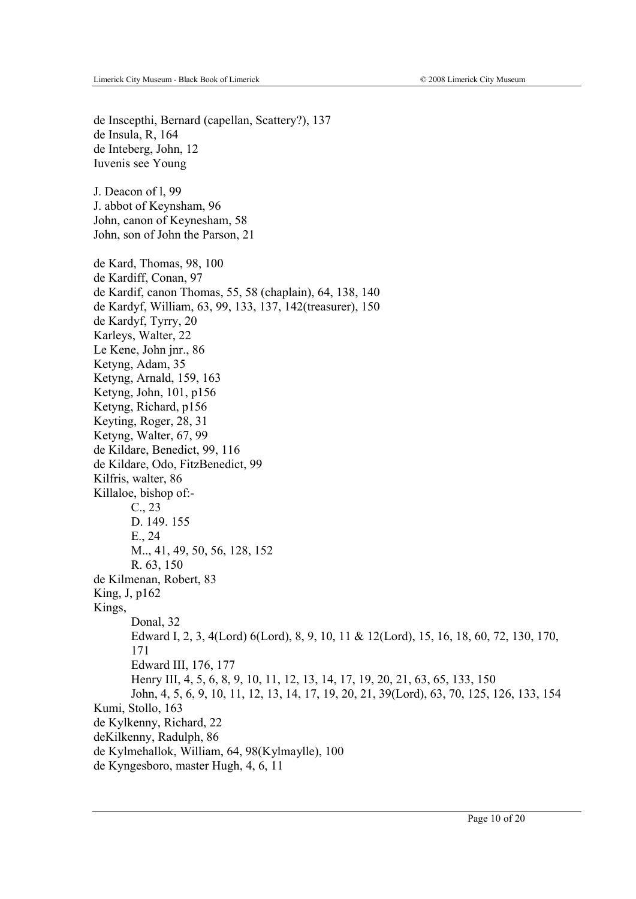de Inscepthi, Bernard (capellan, Scattery?), 137 de Insula, R, 164 de Inteberg, John, 12 Iuvenis see Young J. Deacon of l, 99 J. abbot of Keynsham, 96 John, canon of Keynesham, 58 John, son of John the Parson, 21 de Kard, Thomas, 98, 100 de Kardiff, Conan, 97 de Kardif, canon Thomas, 55, 58 (chaplain), 64, 138, 140 de Kardyf, William, 63, 99, 133, 137, 142(treasurer), 150 de Kardyf, Tyrry, 20 Karleys, Walter, 22 Le Kene, John jnr., 86 Ketyng, Adam, 35 Ketyng, Arnald, 159, 163 Ketyng, John, 101, p156 Ketyng, Richard, p156 Keyting, Roger, 28, 31 Ketyng, Walter, 67, 99 de Kildare, Benedict, 99, 116 de Kildare, Odo, FitzBenedict, 99 Kilfris, walter, 86 Killaloe, bishop of:- C., 23 D. 149. 155 E., 24 M.., 41, 49, 50, 56, 128, 152 R. 63, 150 de Kilmenan, Robert, 83 King, J, p162 Kings, Donal, 32 Edward I, 2, 3, 4(Lord) 6(Lord), 8, 9, 10, 11 & 12(Lord), 15, 16, 18, 60, 72, 130, 170, 171 Edward III, 176, 177 Henry III, 4, 5, 6, 8, 9, 10, 11, 12, 13, 14, 17, 19, 20, 21, 63, 65, 133, 150 John, 4, 5, 6, 9, 10, 11, 12, 13, 14, 17, 19, 20, 21, 39(Lord), 63, 70, 125, 126, 133, 154 Kumi, Stollo, 163 de Kylkenny, Richard, 22 deKilkenny, Radulph, 86 de Kylmehallok, William, 64, 98(Kylmaylle), 100 de Kyngesboro, master Hugh, 4, 6, 11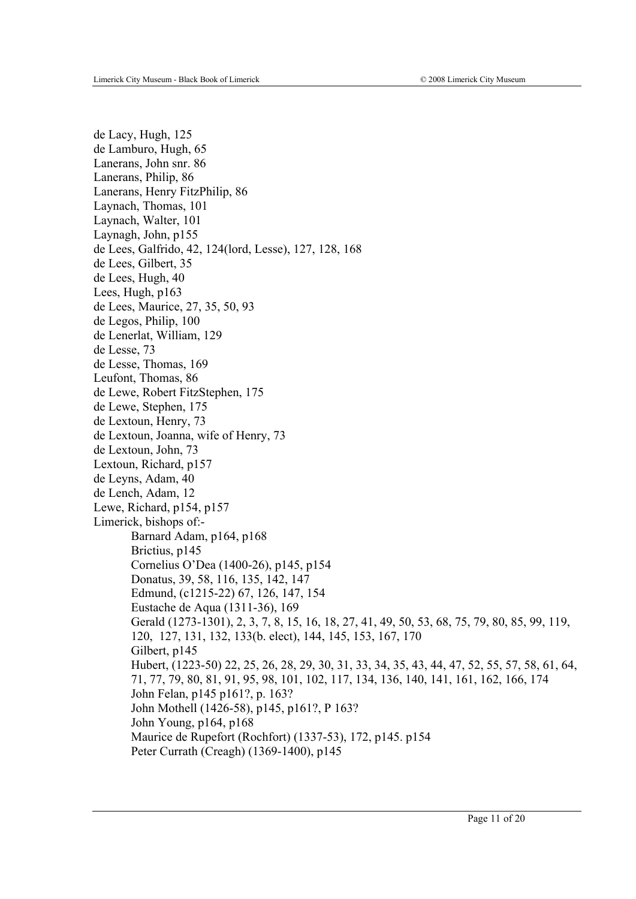de Lacy, Hugh, 125 de Lamburo, Hugh, 65 Lanerans, John snr. 86 Lanerans, Philip, 86 Lanerans, Henry FitzPhilip, 86 Laynach, Thomas, 101 Laynach, Walter, 101 Laynagh, John, p155 de Lees, Galfrido, 42, 124(lord, Lesse), 127, 128, 168 de Lees, Gilbert, 35 de Lees, Hugh, 40 Lees, Hugh, p163 de Lees, Maurice, 27, 35, 50, 93 de Legos, Philip, 100 de Lenerlat, William, 129 de Lesse, 73 de Lesse, Thomas, 169 Leufont, Thomas, 86 de Lewe, Robert FitzStephen, 175 de Lewe, Stephen, 175 de Lextoun, Henry, 73 de Lextoun, Joanna, wife of Henry, 73 de Lextoun, John, 73 Lextoun, Richard, p157 de Leyns, Adam, 40 de Lench, Adam, 12 Lewe, Richard, p154, p157 Limerick, bishops of:- Barnard Adam, p164, p168 Brictius, p145 Cornelius O'Dea (1400-26), p145, p154 Donatus, 39, 58, 116, 135, 142, 147 Edmund, (c1215-22) 67, 126, 147, 154 Eustache de Aqua (1311-36), 169 Gerald (1273-1301), 2, 3, 7, 8, 15, 16, 18, 27, 41, 49, 50, 53, 68, 75, 79, 80, 85, 99, 119, 120, 127, 131, 132, 133(b. elect), 144, 145, 153, 167, 170 Gilbert, p145 Hubert, (1223-50) 22, 25, 26, 28, 29, 30, 31, 33, 34, 35, 43, 44, 47, 52, 55, 57, 58, 61, 64, 71, 77, 79, 80, 81, 91, 95, 98, 101, 102, 117, 134, 136, 140, 141, 161, 162, 166, 174 John Felan, p145 p161?, p. 163? John Mothell (1426-58), p145, p161?, P 163? John Young, p164, p168 Maurice de Rupefort (Rochfort) (1337-53), 172, p145. p154 Peter Currath (Creagh) (1369-1400), p145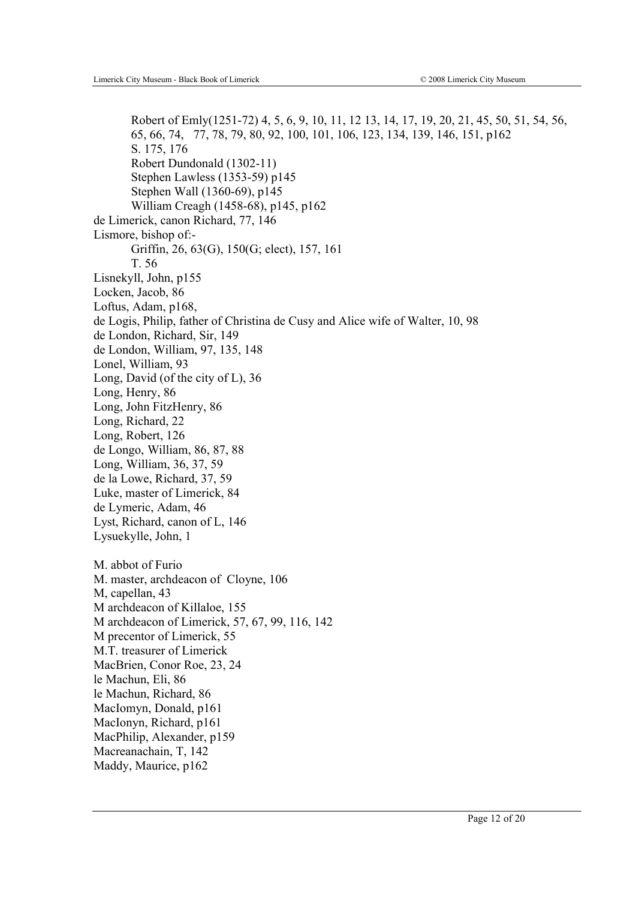Robert of Emly(1251-72) 4, 5, 6, 9, 10, 11, 12 13, 14, 17, 19, 20, 21, 45, 50, 51, 54, 56, 65, 66, 74, 77, 78, 79, 80, 92, 100, 101, 106, 123, 134, 139, 146, 151, p162 S. 175, 176 Robert Dundonald (1302-11) Stephen Lawless (1353-59) p145 Stephen Wall (1360-69), p145 William Creagh (1458-68), p145, p162 de Limerick, canon Richard, 77, 146 Lismore, bishop of:- Griffin, 26, 63(G), 150(G; elect), 157, 161 T. 56 Lisnekyll, John, p155 Locken, Jacob, 86 Loftus, Adam, p168, de Logis, Philip, father of Christina de Cusy and Alice wife of Walter, 10, 98 de London, Richard, Sir, 149 de London, William, 97, 135, 148 Lonel, William, 93 Long, David (of the city of L), 36 Long, Henry, 86 Long, John FitzHenry, 86 Long, Richard, 22 Long, Robert, 126 de Longo, William, 86, 87, 88 Long, William, 36, 37, 59 de la Lowe, Richard, 37, 59 Luke, master of Limerick, 84 de Lymeric, Adam, 46 Lyst, Richard, canon of L, 146 Lysuekylle, John, 1 M. abbot of Furio M. master, archdeacon of Cloyne, 106 M, capellan, 43 M archdeacon of Killaloe, 155 M archdeacon of Limerick, 57, 67, 99, 116, 142 M precentor of Limerick, 55 M.T. treasurer of Limerick MacBrien, Conor Roe, 23, 24 le Machun, Eli, 86 le Machun, Richard, 86 MacIomyn, Donald, p161 MacIonyn, Richard, p161 MacPhilip, Alexander, p159 Macreanachain, T, 142 Maddy, Maurice, p162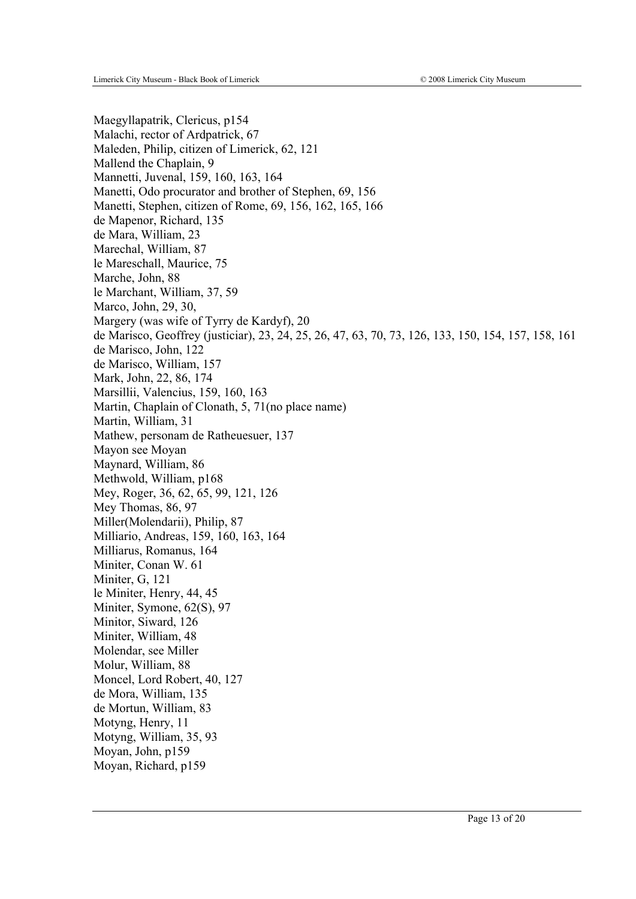Maegyllapatrik, Clericus, p154 Malachi, rector of Ardpatrick, 67 Maleden, Philip, citizen of Limerick, 62, 121 Mallend the Chaplain, 9 Mannetti, Juvenal, 159, 160, 163, 164 Manetti, Odo procurator and brother of Stephen, 69, 156 Manetti, Stephen, citizen of Rome, 69, 156, 162, 165, 166 de Mapenor, Richard, 135 de Mara, William, 23 Marechal, William, 87 le Mareschall, Maurice, 75 Marche, John, 88 le Marchant, William, 37, 59 Marco, John, 29, 30, Margery (was wife of Tyrry de Kardyf), 20 de Marisco, Geoffrey (justiciar), 23, 24, 25, 26, 47, 63, 70, 73, 126, 133, 150, 154, 157, 158, 161 de Marisco, John, 122 de Marisco, William, 157 Mark, John, 22, 86, 174 Marsillii, Valencius, 159, 160, 163 Martin, Chaplain of Clonath, 5, 71(no place name) Martin, William, 31 Mathew, personam de Ratheuesuer, 137 Mayon see Moyan Maynard, William, 86 Methwold, William, p168 Mey, Roger, 36, 62, 65, 99, 121, 126 Mey Thomas, 86, 97 Miller(Molendarii), Philip, 87 Milliario, Andreas, 159, 160, 163, 164 Milliarus, Romanus, 164 Miniter, Conan W. 61 Miniter, G, 121 le Miniter, Henry, 44, 45 Miniter, Symone, 62(S), 97 Minitor, Siward, 126 Miniter, William, 48 Molendar, see Miller Molur, William, 88 Moncel, Lord Robert, 40, 127 de Mora, William, 135 de Mortun, William, 83 Motyng, Henry, 11 Motyng, William, 35, 93 Moyan, John, p159 Moyan, Richard, p159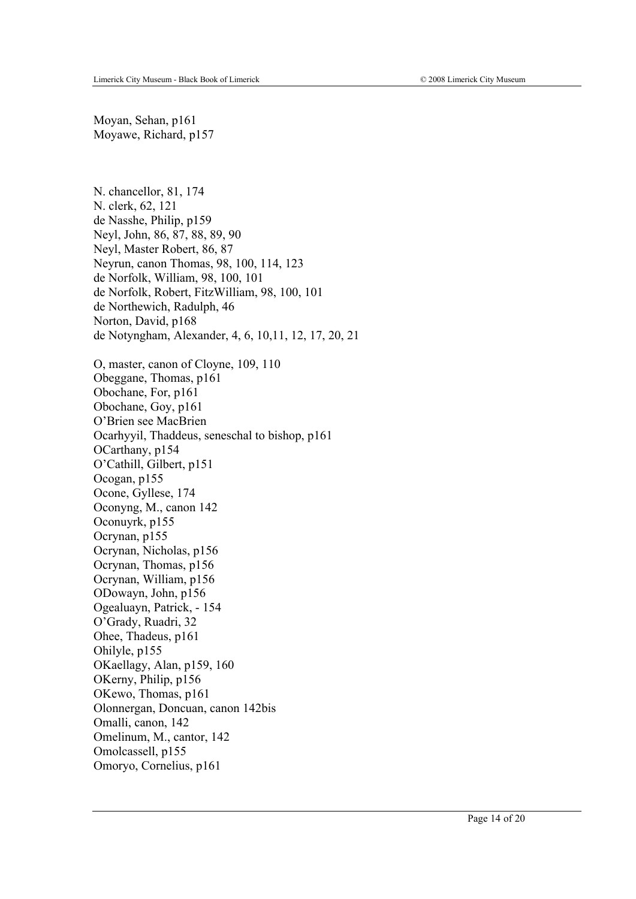Moyan, Sehan, p161 Moyawe, Richard, p157

N. chancellor, 81, 174 N. clerk, 62, 121 de Nasshe, Philip, p159 Neyl, John, 86, 87, 88, 89, 90 Neyl, Master Robert, 86, 87 Neyrun, canon Thomas, 98, 100, 114, 123 de Norfolk, William, 98, 100, 101 de Norfolk, Robert, FitzWilliam, 98, 100, 101 de Northewich, Radulph, 46 Norton, David, p168 de Notyngham, Alexander, 4, 6, 10,11, 12, 17, 20, 21 O, master, canon of Cloyne, 109, 110 Obeggane, Thomas, p161 Obochane, For, p161 Obochane, Goy, p161 O'Brien see MacBrien Ocarhyyil, Thaddeus, seneschal to bishop, p161 OCarthany, p154 O'Cathill, Gilbert, p151 Ocogan, p155 Ocone, Gyllese, 174 Oconyng, M., canon 142 Oconuyrk, p155 Ocrynan, p155 Ocrynan, Nicholas, p156 Ocrynan, Thomas, p156 Ocrynan, William, p156 ODowayn, John, p156 Ogealuayn, Patrick, - 154 O'Grady, Ruadri, 32 Ohee, Thadeus, p161 Ohilyle, p155 OKaellagy, Alan, p159, 160 OKerny, Philip, p156 OKewo, Thomas, p161 Olonnergan, Doncuan, canon 142bis Omalli, canon, 142 Omelinum, M., cantor, 142 Omolcassell, p155 Omoryo, Cornelius, p161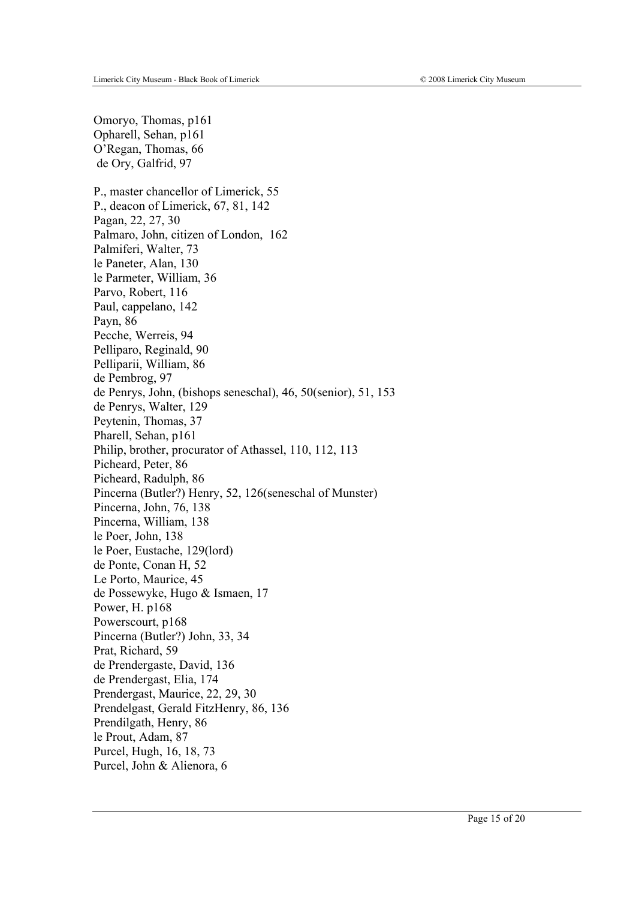Omoryo, Thomas, p161 Opharell, Sehan, p161 O'Regan, Thomas, 66 de Ory, Galfrid, 97 P., master chancellor of Limerick, 55 P., deacon of Limerick, 67, 81, 142 Pagan, 22, 27, 30 Palmaro, John, citizen of London, 162 Palmiferi, Walter, 73 le Paneter, Alan, 130 le Parmeter, William, 36 Parvo, Robert, 116 Paul, cappelano, 142 Payn, 86 Pecche, Werreis, 94 Pelliparo, Reginald, 90 Pelliparii, William, 86 de Pembrog, 97 de Penrys, John, (bishops seneschal), 46, 50(senior), 51, 153 de Penrys, Walter, 129 Peytenin, Thomas, 37 Pharell, Sehan, p161 Philip, brother, procurator of Athassel, 110, 112, 113 Picheard, Peter, 86 Picheard, Radulph, 86 Pincerna (Butler?) Henry, 52, 126(seneschal of Munster) Pincerna, John, 76, 138 Pincerna, William, 138 le Poer, John, 138 le Poer, Eustache, 129(lord) de Ponte, Conan H, 52 Le Porto, Maurice, 45 de Possewyke, Hugo & Ismaen, 17 Power, H. p168 Powerscourt, p168 Pincerna (Butler?) John, 33, 34 Prat, Richard, 59 de Prendergaste, David, 136 de Prendergast, Elia, 174 Prendergast, Maurice, 22, 29, 30 Prendelgast, Gerald FitzHenry, 86, 136 Prendilgath, Henry, 86 le Prout, Adam, 87 Purcel, Hugh, 16, 18, 73 Purcel, John & Alienora, 6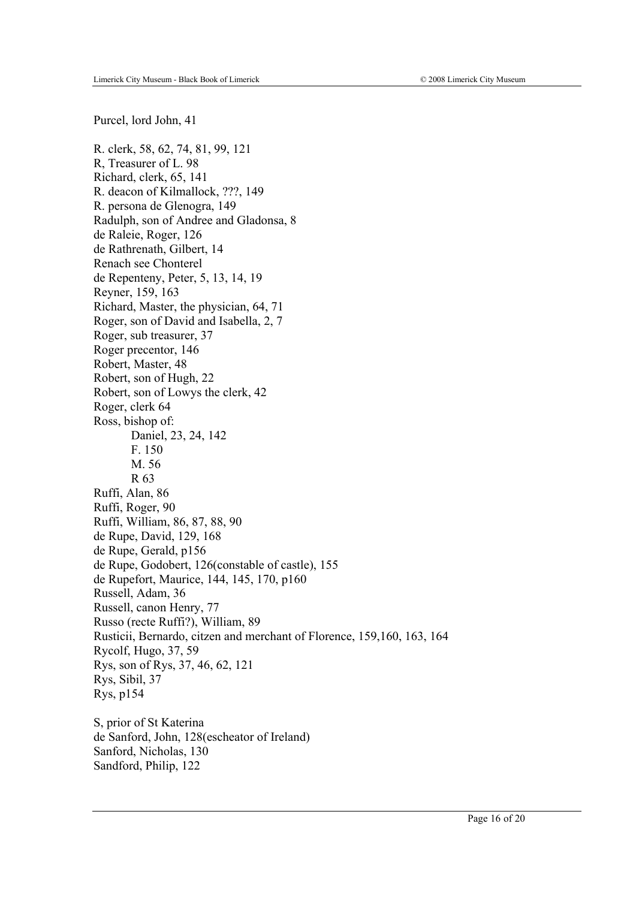Purcel, lord John, 41

R. clerk, 58, 62, 74, 81, 99, 121 R, Treasurer of L. 98 Richard, clerk, 65, 141 R. deacon of Kilmallock, ???, 149 R. persona de Glenogra, 149 Radulph, son of Andree and Gladonsa, 8 de Raleie, Roger, 126 de Rathrenath, Gilbert, 14 Renach see Chonterel de Repenteny, Peter, 5, 13, 14, 19 Reyner, 159, 163 Richard, Master, the physician, 64, 71 Roger, son of David and Isabella, 2, 7 Roger, sub treasurer, 37 Roger precentor, 146 Robert, Master, 48 Robert, son of Hugh, 22 Robert, son of Lowys the clerk, 42 Roger, clerk 64 Ross, bishop of: Daniel, 23, 24, 142 F. 150 M. 56 R 63 Ruffi, Alan, 86 Ruffi, Roger, 90 Ruffi, William, 86, 87, 88, 90 de Rupe, David, 129, 168 de Rupe, Gerald, p156 de Rupe, Godobert, 126(constable of castle), 155 de Rupefort, Maurice, 144, 145, 170, p160 Russell, Adam, 36 Russell, canon Henry, 77 Russo (recte Ruffi?), William, 89 Rusticii, Bernardo, citzen and merchant of Florence, 159,160, 163, 164 Rycolf, Hugo, 37, 59 Rys, son of Rys, 37, 46, 62, 121 Rys, Sibil, 37 Rys, p154 S, prior of St Katerina

de Sanford, John, 128(escheator of Ireland) Sanford, Nicholas, 130 Sandford, Philip, 122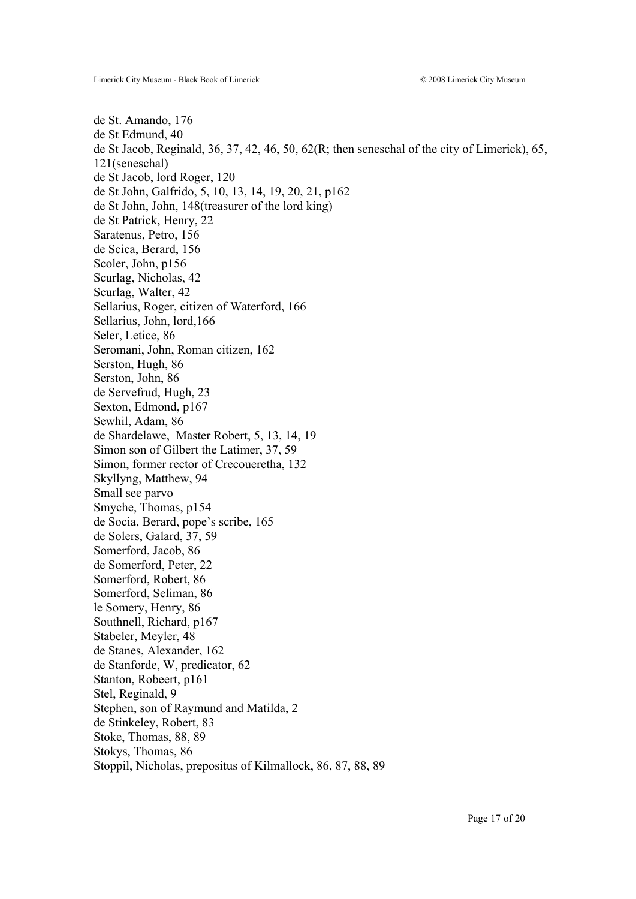de St. Amando, 176 de St Edmund, 40 de St Jacob, Reginald, 36, 37, 42, 46, 50, 62(R; then seneschal of the city of Limerick), 65, 121(seneschal) de St Jacob, lord Roger, 120 de St John, Galfrido, 5, 10, 13, 14, 19, 20, 21, p162 de St John, John, 148(treasurer of the lord king) de St Patrick, Henry, 22 Saratenus, Petro, 156 de Scica, Berard, 156 Scoler, John, p156 Scurlag, Nicholas, 42 Scurlag, Walter, 42 Sellarius, Roger, citizen of Waterford, 166 Sellarius, John, lord,166 Seler, Letice, 86 Seromani, John, Roman citizen, 162 Serston, Hugh, 86 Serston, John, 86 de Servefrud, Hugh, 23 Sexton, Edmond, p167 Sewhil, Adam, 86 de Shardelawe, Master Robert, 5, 13, 14, 19 Simon son of Gilbert the Latimer, 37, 59 Simon, former rector of Crecoueretha, 132 Skyllyng, Matthew, 94 Small see parvo Smyche, Thomas, p154 de Socia, Berard, pope's scribe, 165 de Solers, Galard, 37, 59 Somerford, Jacob, 86 de Somerford, Peter, 22 Somerford, Robert, 86 Somerford, Seliman, 86 le Somery, Henry, 86 Southnell, Richard, p167 Stabeler, Meyler, 48 de Stanes, Alexander, 162 de Stanforde, W, predicator, 62 Stanton, Robeert, p161 Stel, Reginald, 9 Stephen, son of Raymund and Matilda, 2 de Stinkeley, Robert, 83 Stoke, Thomas, 88, 89 Stokys, Thomas, 86 Stoppil, Nicholas, prepositus of Kilmallock, 86, 87, 88, 89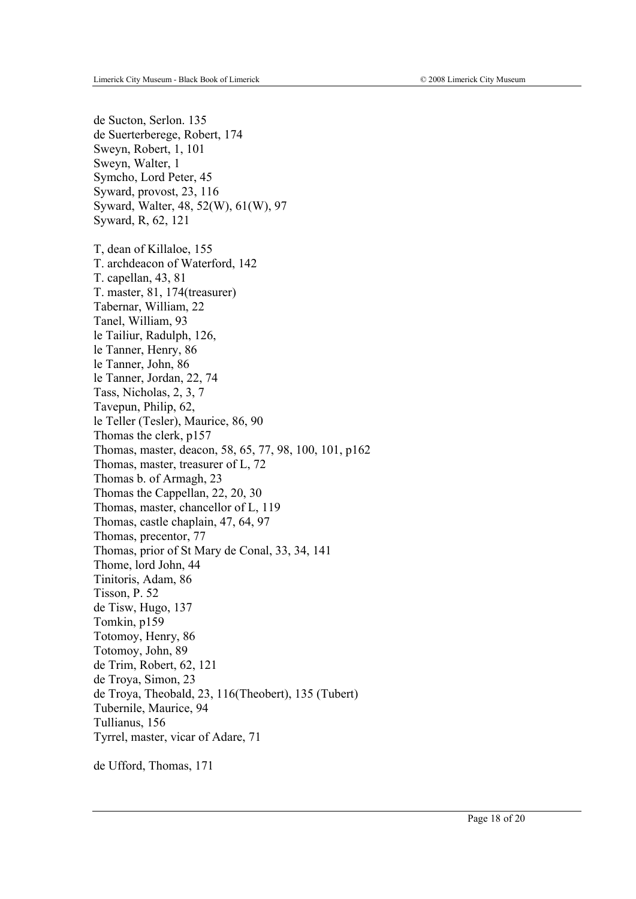de Sucton, Serlon. 135 de Suerterberege, Robert, 174 Sweyn, Robert, 1, 101 Sweyn, Walter, 1 Symcho, Lord Peter, 45 Syward, provost, 23, 116 Syward, Walter, 48, 52(W), 61(W), 97 Syward, R, 62, 121 T, dean of Killaloe, 155 T. archdeacon of Waterford, 142 T. capellan, 43, 81 T. master, 81, 174(treasurer) Tabernar, William, 22 Tanel, William, 93 le Tailiur, Radulph, 126, le Tanner, Henry, 86 le Tanner, John, 86 le Tanner, Jordan, 22, 74 Tass, Nicholas, 2, 3, 7 Tavepun, Philip, 62, le Teller (Tesler), Maurice, 86, 90 Thomas the clerk, p157 Thomas, master, deacon, 58, 65, 77, 98, 100, 101, p162 Thomas, master, treasurer of L, 72 Thomas b. of Armagh, 23 Thomas the Cappellan, 22, 20, 30 Thomas, master, chancellor of L, 119 Thomas, castle chaplain, 47, 64, 97 Thomas, precentor, 77 Thomas, prior of St Mary de Conal, 33, 34, 141 Thome, lord John, 44 Tinitoris, Adam, 86 Tisson, P. 52 de Tisw, Hugo, 137 Tomkin, p159 Totomoy, Henry, 86 Totomoy, John, 89 de Trim, Robert, 62, 121 de Troya, Simon, 23 de Troya, Theobald, 23, 116(Theobert), 135 (Tubert) Tubernile, Maurice, 94 Tullianus, 156 Tyrrel, master, vicar of Adare, 71

de Ufford, Thomas, 171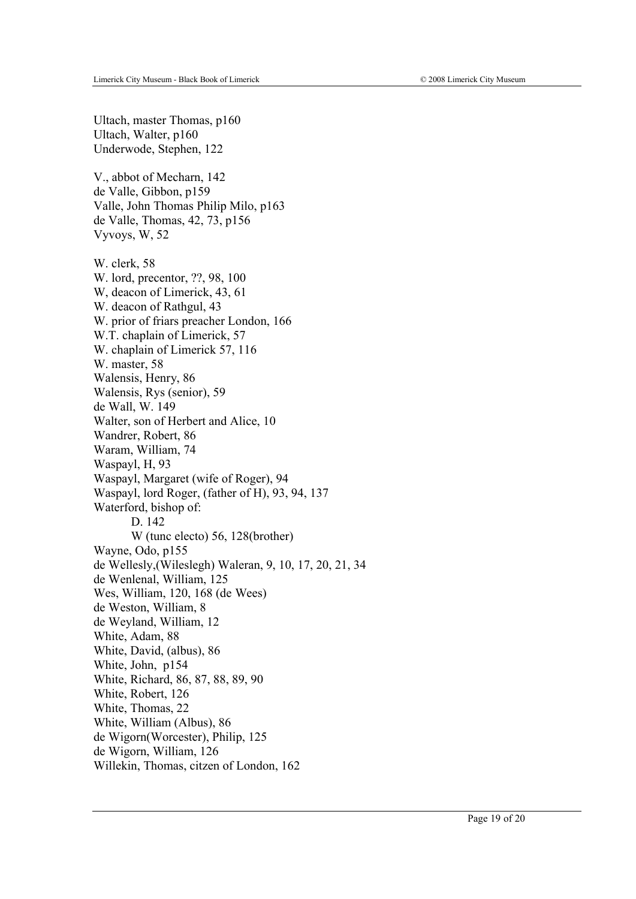Ultach, master Thomas, p160 Ultach, Walter, p160 Underwode, Stephen, 122 V., abbot of Mecharn, 142 de Valle, Gibbon, p159 Valle, John Thomas Philip Milo, p163 de Valle, Thomas, 42, 73, p156 Vyvoys, W, 52 W. clerk, 58 W. lord, precentor, ??, 98, 100 W, deacon of Limerick, 43, 61 W. deacon of Rathgul, 43 W. prior of friars preacher London, 166 W.T. chaplain of Limerick, 57 W. chaplain of Limerick 57, 116 W. master, 58 Walensis, Henry, 86 Walensis, Rys (senior), 59 de Wall, W. 149 Walter, son of Herbert and Alice, 10 Wandrer, Robert, 86 Waram, William, 74 Waspayl, H, 93 Waspayl, Margaret (wife of Roger), 94 Waspayl, lord Roger, (father of H), 93, 94, 137 Waterford, bishop of: D. 142 W (tunc electo) 56, 128(brother) Wayne, Odo, p155 de Wellesly,(Wileslegh) Waleran, 9, 10, 17, 20, 21, 34 de Wenlenal, William, 125 Wes, William, 120, 168 (de Wees) de Weston, William, 8 de Weyland, William, 12 White, Adam, 88 White, David, (albus), 86 White, John, p154 White, Richard, 86, 87, 88, 89, 90 White, Robert, 126 White, Thomas, 22 White, William (Albus), 86 de Wigorn(Worcester), Philip, 125 de Wigorn, William, 126 Willekin, Thomas, citzen of London, 162